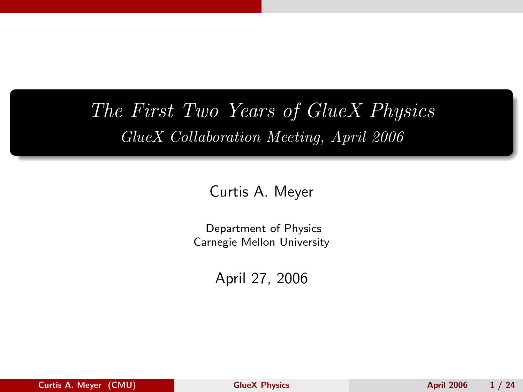# The First Two Years of GlueX Physics GlueX Collaboration Meeting, April 2006

Curtis A. Meyer

Department of Physics Carnegie Mellon University

<span id="page-0-0"></span>April 27, 2006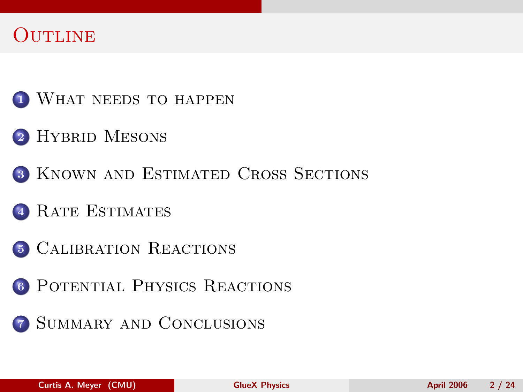# **OUTLINE**

- <sup>1</sup> [What needs to happen](#page-2-0)
- 2 HYBRID MESONS
- <sup>3</sup> [Known and Estimated Cross Sections](#page-7-0)
- <sup>4</sup> [Rate Estimates](#page-12-0)
- <sup>5</sup> [Calibration Reactions](#page-17-0)
- <sup>6</sup> [Potential Physics Reactions](#page-19-0)
- **7 SUMMARY AND CONCLUSIONS**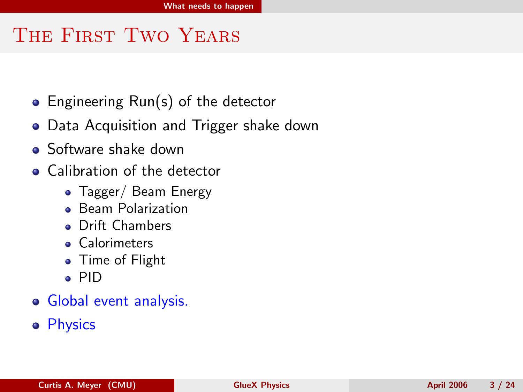# THE FIRST TWO YEARS

- Engineering Run(s) of the detector
- Data Acquisition and Trigger shake down
- Software shake down
- Calibration of the detector
	- Tagger/ Beam Energy
	- **Beam Polarization**
	- Drift Chambers
	- **Calorimeters**
	- Time of Flight
	- PID
- Global event analysis.
- <span id="page-2-0"></span>**•** Physics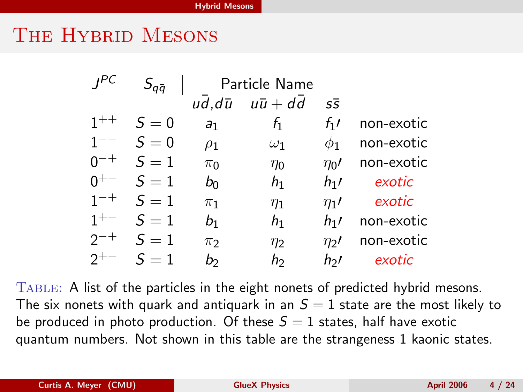### THE HYBRID MESONS

| IPC      | $S_{q\bar{q}}$ | Particle Name  |                                                        |                                       |            |
|----------|----------------|----------------|--------------------------------------------------------|---------------------------------------|------------|
|          |                |                | $u\overline{d}$ , $d\overline{u}$ $u\overline{u}$ + dd | $S\overline{S}$                       |            |
| $1 + +$  | $S=0$          | a <sub>1</sub> | $f_1$                                                  | $f_1$                                 | non-exotic |
| $1 - -$  | $S=0$          | $\rho_1$       | $\omega_1$                                             | $\phi_1$                              | non-exotic |
| $n^{-+}$ | $S=1$          | $\pi_0$        | $\eta_0$                                               | $\eta_0$ /                            | non-exotic |
| $0^{+-}$ | $S=1$          | $b_0$          | h <sub>1</sub>                                         | $h_1$                                 | exotic     |
| $1^{-+}$ | $S=1$          | $\pi_1$        | $\eta_1$                                               | $\eta_1$ /                            | exotic     |
| $1^{+-}$ | $S=1$          | $b_1$          | h <sub>1</sub>                                         | $h_1$                                 | non-exotic |
| $2^{-+}$ | $S=1$          | $\pi$          | $\eta_2$                                               | $\eta$ <sup><math>\prime</math></sup> | non-exotic |
|          | $S=1$          | b              | h                                                      | hol.                                  | exotic     |

<span id="page-3-0"></span>Table: A list of the particles in the eight nonets of predicted hybrid mesons. The six nonets with quark and antiquark in an  $S = 1$  state are the most likely to be produced in photo production. Of these  $S = 1$  states, half have exotic quantum numbers. Not shown in this table are the strangeness 1 kaonic states.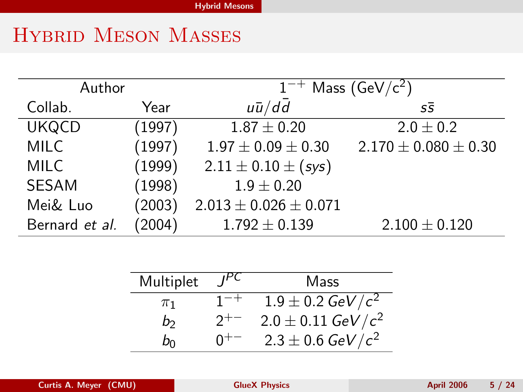# Hybrid Meson Masses

| Author         |        | $1^{-+}$ Mass (GeV/c <sup>2</sup> ) |                            |  |
|----------------|--------|-------------------------------------|----------------------------|--|
| Collab.        | Year   | $u\bar{u}/d\bar{d}$                 | $S\bar{S}$                 |  |
| <b>UKQCD</b>   | (1997) | $1.87 \pm 0.20$                     | $2.0 \pm 0.2$              |  |
| <b>MILC</b>    | (1997) | $1.97 \pm 0.09 \pm 0.30$            | $2.170 \pm 0.080 \pm 0.30$ |  |
| <b>MILC</b>    | (1999) | $2.11 \pm 0.10 \pm (sys)$           |                            |  |
| <b>SESAM</b>   | (1998) | $1.9 \pm 0.20$                      |                            |  |
| Mei& Luo       | (2003) | $2.013 \pm 0.026 \pm 0.071$         |                            |  |
| Bernard et al. | (2004) | $1.792 \pm 0.139$                   | $2.100 \pm 0.120$          |  |

| Multiplet<br>$I^{\text{PC}}$ |          | Mass                           |  |
|------------------------------|----------|--------------------------------|--|
| $\pi_1$                      | $1^{-+}$ | $1.9 \pm 0.2 \text{ GeV}/c^2$  |  |
| b                            | $2^{+-}$ | $2.0 \pm 0.11 \text{ GeV}/c^2$ |  |
| b٥                           | $0^{+-}$ | $2.3 \pm 0.6 \text{ GeV}/c^2$  |  |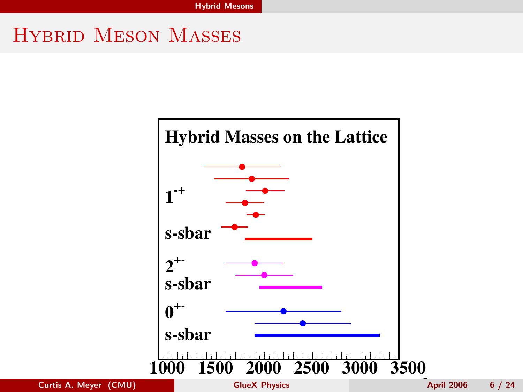# Hybrid Meson Masses

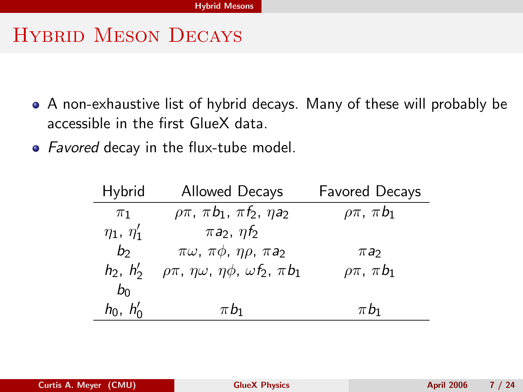# Hybrid Meson Decays

- A non-exhaustive list of hybrid decays. Many of these will probably be accessible in the first GlueX data.
- Favored decay in the flux-tube model.

| Hybrid            | <b>Allowed Decays</b>                                            | <b>Favored Decays</b> |
|-------------------|------------------------------------------------------------------|-----------------------|
| $\pi_1$           | $\rho \pi$ , $\pi b_1$ , $\pi f_2$ , $\eta a_2$                  | $\rho\pi$ , $\pi b_1$ |
| $\eta_1, \eta'_1$ | $\pi a_2$ , $\eta f_2$                                           |                       |
| b <sub>2</sub>    | $\pi\omega$ , $\pi\phi$ , $\eta\rho$ , $\pi a_2$                 | $\pi a_2$             |
| $h_2, h'_2$       | $\rho\pi$ , $\eta\omega$ , $\eta\phi$ , $\omega f_2$ , $\pi b_1$ | $\rho\pi$ , $\pi b_1$ |
| $b_0$             |                                                                  |                       |
| $h_0$ , $h'_0$    | $\pi b_1$                                                        | $\pi b_1$             |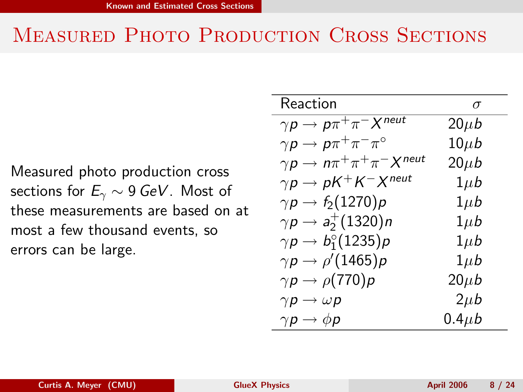# MEASURED PHOTO PRODUCTION CROSS SECTIONS

Measured photo production cross sections for  $E_\gamma \sim 9$  GeV. Most of these measurements are based on at most a few thousand events, so errors can be large.

<span id="page-7-0"></span>

| Reaction                                         | $\sigma$    |
|--------------------------------------------------|-------------|
| $\gamma p \to p \pi^+ \pi^- X^{\text{neut}}$     | $20\mu b$   |
| $\gamma p \to p \pi^+ \pi^- \pi^{\circ}$         | $10\mu b$   |
| $\gamma p \to n \pi^+ \pi^+ \pi^- X^{neut}$      | $20\mu b$   |
| $\gamma p \to pK^+K^-X^{neut}$                   | $1\mu b$    |
| $\gamma p \to f_2(1270) p$                       | $1\mu b$    |
| $\gamma p \to a_2^+(1320) n$                     | $1\mu b$    |
| $\gamma \rho \rightarrow b_1^{\circ}(1235) \rho$ | $1\mu b$    |
| $\gamma p \to \rho^\prime(1465) p$               | $1\mu b$    |
| $\gamma p \to \rho(770) p$                       | $20\mu b$   |
| $\gamma p \rightarrow \omega p$                  | $2\mu b$    |
| $\gamma p \to \phi p$                            | $0.4 \mu b$ |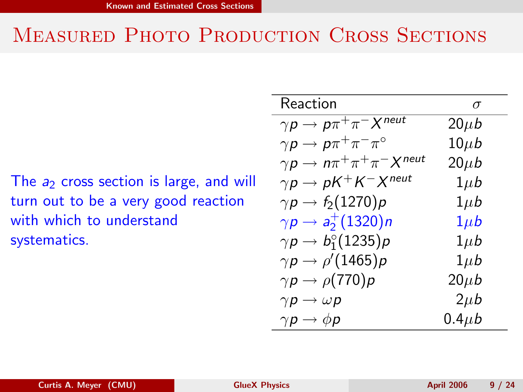# MEASURED PHOTO PRODUCTION CROSS SECTIONS

The  $a_2$  cross section is large, and will turn out to be a very good reaction with which to understand systematics.

| Reaction                                    | $\sigma$    |
|---------------------------------------------|-------------|
| $\gamma p \to p \pi^+ \pi^- X^{neut}$       | $20\mu b$   |
| $\gamma p \to p \pi^+ \pi^- \pi^{\circ}$    | $10\mu b$   |
| $\gamma p \to n \pi^+ \pi^+ \pi^- X^{neut}$ | $20\mu b$   |
| $\gamma p \to pK^+K^-X^{neut}$              | $1\mu b$    |
| $\gamma p \to f_2(1270) p$                  | $1\mu b$    |
| $\gamma p \to a_2^+(1320) n$                | $1\mu b$    |
| $\gamma p \to b_1^{\circ}(1235) p$          | $1\mu b$    |
| $\gamma p \to \rho^\prime(1465) p$          | $1\mu b$    |
| $\gamma p \to \rho(770) p$                  | $20\mu b$   |
| $\gamma p \rightarrow \omega p$             | $2\mu b$    |
| $\gamma p \to \phi p$                       | $0.4 \mu b$ |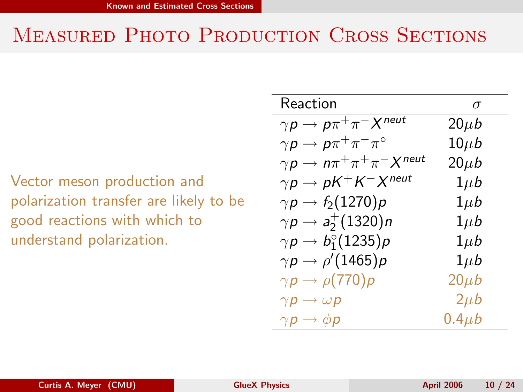# MEASURED PHOTO PRODUCTION CROSS SECTIONS

Vector meson production and polarization transfer are likely to be good reactions with which to understand polarization.

| Reaction                                    | $\sigma$    |
|---------------------------------------------|-------------|
| $\gamma p \to p \pi^+ \pi^- X^{neut}$       | $20\mu b$   |
| $\gamma p \to p \pi^+ \pi^- \pi^{\circ}$    | $10\mu b$   |
| $\gamma p \to n \pi^+ \pi^+ \pi^- X^{neut}$ | $20\mu b$   |
| $\gamma p \to pK^+K^-X^{neut}$              | $1\mu b$    |
| $\gamma p \to f_2(1270) p$                  | $1\mu b$    |
| $\gamma p \to a_2^+(1320) n$                | $1\mu b$    |
| $\gamma p \to b_1^{\circ}(1235) p$          | $1\mu b$    |
| $\gamma p \to \rho^\prime(1465) p$          | $1\mu b$    |
| $\gamma p \to \rho(770) p$                  | $20\mu b$   |
| $\gamma p \rightarrow \omega p$             | $2\mu b$    |
| $\gamma p \to \phi p$                       | $0.4 \mu b$ |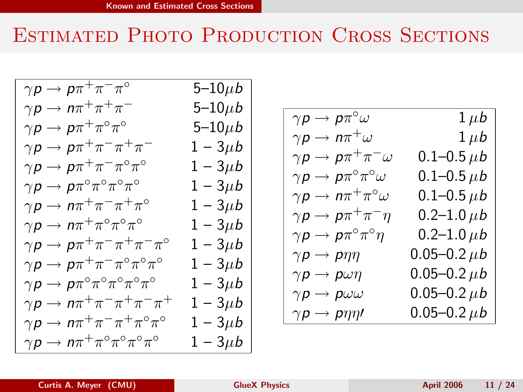# Estimated Photo Production Cross Sections

| $\gamma p \to p \pi^+ \pi^- \pi^{\circ}$<br>5–10 $\mu$ b<br>$\gamma p \to n \pi^+ \pi^+ \pi^-$<br>5–10 $\mu$ b<br>$\gamma \rho \to \rho \pi^+ \pi^{\circ} \pi^{\circ}$<br>5–10 $\mu$ b<br>$\gamma \rho \to \rho \pi^+ \pi^- \pi^+ \pi^-$<br>$1 - 3\mu b$<br>$\gamma \rho \to \rho \pi^+ \pi^- \pi^{\circ} \pi^{\circ}$<br>$1 - 3\mu b$<br>$\gamma p \to p \pi^{\circ} \pi^{\circ} \pi^{\circ} \pi^{\circ}$<br>$1 - 3\mu b$<br>$\gamma p \to n \pi^+ \pi^- \pi^+ \pi^{\circ}$<br>$1-3\mu b$<br>$\gamma \rho \to n \pi^+ \pi^{\circ} \pi^{\circ} \pi^{\circ}$<br>$1 - 3\mu b$<br>$\gamma \rho \to \rho \pi^+ \pi^- \pi^+ \pi^- \pi^{\circ}$<br>$1 - 3\mu b$<br>$\gamma \rho \to \rho \pi^+ \pi^- \pi^{\circ} \pi^{\circ} \pi^{\circ}$<br>$1 - 3\mu b$<br>$\gamma\rho\to\rho\pi^{\circ}\pi^{\circ}\pi^{\circ}\pi^{\circ}\pi^{\circ}$<br>$1 - 3\mu b$<br>$\gamma \rho \to n \pi^+ \pi^- \pi^+ \pi^- \pi^+$<br>$1 - 3\mu b$<br>$\gamma \rho \to n \pi^+ \pi^- \pi^+ \pi^{\circ} \pi^{\circ}$<br>$1-3\mu b$<br>$\gamma \rho \to n \pi^+ \pi^{\circ} \pi^{\circ} \pi^{\circ} \pi^{\circ}$<br>$1-3\mu b$ |  |
|--------------------------------------------------------------------------------------------------------------------------------------------------------------------------------------------------------------------------------------------------------------------------------------------------------------------------------------------------------------------------------------------------------------------------------------------------------------------------------------------------------------------------------------------------------------------------------------------------------------------------------------------------------------------------------------------------------------------------------------------------------------------------------------------------------------------------------------------------------------------------------------------------------------------------------------------------------------------------------------------------------------------------------------------------------------------------------------------------|--|
|                                                                                                                                                                                                                                                                                                                                                                                                                                                                                                                                                                                                                                                                                                                                                                                                                                                                                                                                                                                                                                                                                                  |  |
|                                                                                                                                                                                                                                                                                                                                                                                                                                                                                                                                                                                                                                                                                                                                                                                                                                                                                                                                                                                                                                                                                                  |  |
|                                                                                                                                                                                                                                                                                                                                                                                                                                                                                                                                                                                                                                                                                                                                                                                                                                                                                                                                                                                                                                                                                                  |  |
|                                                                                                                                                                                                                                                                                                                                                                                                                                                                                                                                                                                                                                                                                                                                                                                                                                                                                                                                                                                                                                                                                                  |  |
|                                                                                                                                                                                                                                                                                                                                                                                                                                                                                                                                                                                                                                                                                                                                                                                                                                                                                                                                                                                                                                                                                                  |  |
|                                                                                                                                                                                                                                                                                                                                                                                                                                                                                                                                                                                                                                                                                                                                                                                                                                                                                                                                                                                                                                                                                                  |  |
|                                                                                                                                                                                                                                                                                                                                                                                                                                                                                                                                                                                                                                                                                                                                                                                                                                                                                                                                                                                                                                                                                                  |  |
|                                                                                                                                                                                                                                                                                                                                                                                                                                                                                                                                                                                                                                                                                                                                                                                                                                                                                                                                                                                                                                                                                                  |  |
|                                                                                                                                                                                                                                                                                                                                                                                                                                                                                                                                                                                                                                                                                                                                                                                                                                                                                                                                                                                                                                                                                                  |  |
|                                                                                                                                                                                                                                                                                                                                                                                                                                                                                                                                                                                                                                                                                                                                                                                                                                                                                                                                                                                                                                                                                                  |  |
|                                                                                                                                                                                                                                                                                                                                                                                                                                                                                                                                                                                                                                                                                                                                                                                                                                                                                                                                                                                                                                                                                                  |  |
|                                                                                                                                                                                                                                                                                                                                                                                                                                                                                                                                                                                                                                                                                                                                                                                                                                                                                                                                                                                                                                                                                                  |  |
|                                                                                                                                                                                                                                                                                                                                                                                                                                                                                                                                                                                                                                                                                                                                                                                                                                                                                                                                                                                                                                                                                                  |  |
|                                                                                                                                                                                                                                                                                                                                                                                                                                                                                                                                                                                                                                                                                                                                                                                                                                                                                                                                                                                                                                                                                                  |  |

$$
\begin{array}{|c|} \hline \gamma p \to p \pi^\circ \omega & 1 \mu b \\ \hline \gamma p \to n \pi^+ \omega & 1 \mu b \\ \hline \gamma p \to p \pi^+ \pi^- \omega & 0.1\text{--}0.5 \mu b \\ \hline \gamma p \to p \pi^\circ \pi^\circ \omega & 0.1\text{--}0.5 \mu b \\ \hline \gamma p \to n \pi^+ \pi^\circ \omega & 0.1\text{--}0.5 \mu b \\ \hline \gamma p \to p \pi^+ \pi^- \eta & 0.2\text{--}1.0 \mu b \\ \hline \gamma p \to p \pi^\circ \pi^\circ \eta & 0.2\text{--}1.0 \mu b \\ \hline \gamma p \to p \pi \eta & 0.05\text{--}0.2 \mu b \\ \hline \gamma p \to p \omega \eta & 0.05\text{--}0.2 \mu b \\ \hline \gamma p \to p \omega \omega & 0.05\text{--}0.2 \mu b \\ \hline \gamma p \to p \eta \eta' & 0.05\text{--}0.2 \mu b \\ \hline \end{array}
$$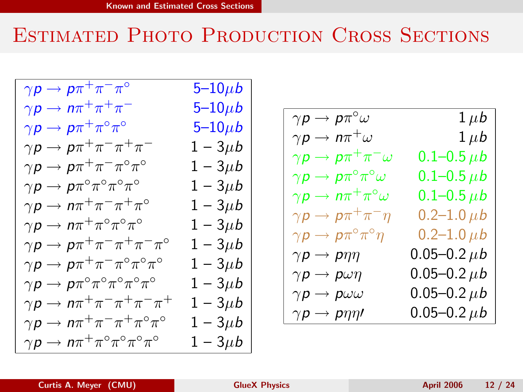# Estimated Photo Production Cross Sections

| $\gamma\boldsymbol{p}\to\boldsymbol{p}\pi^+\pi^-\pi^{\overline{\circ}}$       | 5 $-10\mu b$ |
|-------------------------------------------------------------------------------|--------------|
| $\gamma p \to n \pi^+ \pi^+ \pi^-$                                            | 5–10 $\mu$ b |
| $\gamma\bm{\mathsf{p}}\rightarrow \bm{\mathsf{p}}\pi^+\pi^{\circ}\pi^{\circ}$ | 5–10 $\mu$ b |
| $\gamma \rho \to \rho \pi^+ \pi^- \pi^+ \pi^-$                                | $1 - 3\mu b$ |
| $\gamma \rho \to \rho \pi^+ \pi^- \pi^{\circ} \pi^{\circ}$                    | $1-3\mu b$   |
| $\gamma p \to p \pi^{\circ} \pi^{\circ} \pi^{\circ} \pi^{\circ}$              | $1 - 3\mu b$ |
| $\gamma \rho \to n \pi^+ \pi^- \pi^+ \pi^{\circ}$                             | $1-3\mu b$   |
| $\gamma \rho \to n \pi^+ \pi^{\circ} \pi^{\circ} \pi^{\circ}$                 | $1 - 3\mu b$ |
| $\gamma \rho \to \rho \pi^+ \pi^- \pi^+ \pi^- \pi^{\circ}$                    | $1 - 3\mu b$ |
| $\gamma \rho \to \rho \pi^+ \pi^- \pi^{\circ} \pi^{\circ} \pi^{\circ}$        | $1 - 3\mu b$ |
| $\gamma\rho\to\rho\pi^{\circ}\pi^{\circ}\pi^{\circ}\pi^{\circ}\pi^{\circ}$    | $1 - 3\mu b$ |
| $\gamma \rho \to n \pi^+ \pi^- \pi^+ \pi^- \pi^+$                             | $1 - 3\mu b$ |
| $\gamma p \to n \pi^+ \pi^- \pi^+ \pi^{\circ} \pi^{\circ}$                    | $1-3\mu b$   |
| $\gamma\rho\to n\pi^+\pi^{\circ}\pi^{\circ}\pi^{\circ}\pi^{\circ}$            | $1-3\mu b$   |

$$
\begin{array}{|c|} \hline \gamma p \to p \pi^\circ \omega & 1 \mu b \\ \hline \gamma p \to n \pi^+ \omega & 1 \mu b \\ \hline \gamma p \to p \pi^+ \pi^- \omega & 0.1 \hbox{--} 0.5 \mu b \\ \hline \gamma p \to p \pi^\circ \pi^\circ \omega & 0.1 \hbox{--} 0.5 \mu b \\ \hline \gamma p \to n \pi^+ \pi^\circ \omega & 0.1 \hbox{--} 0.5 \mu b \\ \hline \gamma p \to p \pi^+ \pi^- \eta & 0.2 \hbox{--} 1.0 \mu b \\ \hline \gamma p \to p \pi^\circ \pi^\circ \eta & 0.2 \hbox{--} 1.0 \mu b \\ \hline \gamma p \to p \eta \eta & 0.05 \hbox{--} 0.2 \mu b \\ \hline \gamma p \to p \omega \eta & 0.05 \hbox{--} 0.2 \mu b \\ \hline \gamma p \to p \omega \omega & 0.05 \hbox{--} 0.2 \mu b \\ \hline \gamma p \to p \eta \eta' & 0.05 \hbox{--} 0.2 \mu b \end{array}
$$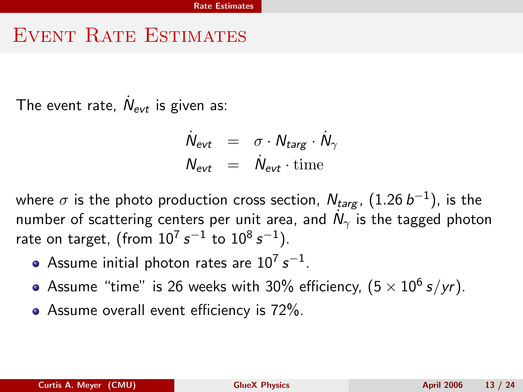#### EVENT RATE ESTIMATES

The event rate,  $\dot{N}_{\text{evt}}$  is given as:

<span id="page-12-0"></span>
$$
\dot{N}_{\text{evt}} = \sigma \cdot N_{\text{targ}} \cdot \dot{N}_{\gamma}
$$
\n
$$
N_{\text{evt}} = \dot{N}_{\text{evt}} \cdot \text{time}
$$

where  $\sigma$  is the photo production cross section,  $N_{targ}$ ,  $(1.26\,b^{-1})$ , is the number of scattering centers per unit area, and  $\dot{N}_\gamma$  is the tagged photon rate on target, (from  $10^7\, s^{-1}$  to  $10^8\, s^{-1}).$ 

- Assume initial photon rates are  $10^7\, s^{-1}.$
- Assume "time" is 26 weeks with 30% efficiency,  $(5\times10^6\,s/yr)$ .
- Assume overall event efficiency is  $72\%$ .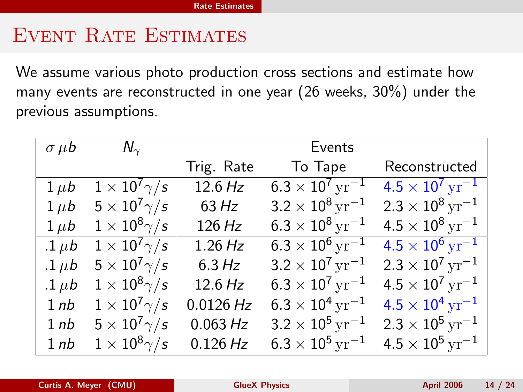### EVENT RATE ESTIMATES

We assume various photo production cross sections and estimate how many events are reconstructed in one year (26 weeks, 30%) under the previous assumptions.

| $\sigma$ $\mu$ <i>b</i> | $N_{\gamma}$                 |            | Events                               |                                      |
|-------------------------|------------------------------|------------|--------------------------------------|--------------------------------------|
|                         |                              | Trig. Rate | To Tape                              | Reconstructed                        |
| $1 \mu b$               | $1\times10^7\gamma/s$        | 12.6 Hz    | $6.3 \times 10^7 \,\mathrm{yr}^{-1}$ | $4.5 \times 10^7 \,\mathrm{yr}^{-1}$ |
| $1 \mu b$               | $5 \times 10^7 \gamma/s$     | 63 Hz      | $3.2 \times 10^8 \,\mathrm{yr}^{-1}$ | $2.3 \times 10^8 \,\mathrm{yr}^{-1}$ |
| $1 \mu b$               | $1\times10^8\gamma/\text{s}$ | 126 Hz     | $6.3 \times 10^8 \,\rm yr^{-1}$      | $4.5 \times 10^8 \,\text{yr}^{-1}$   |
| $.1 \mu b$              | $1\times10^7\gamma/s$        | 1.26 Hz    | $6.3\times10^6$ $\rm yr^{-1}$        | $4.5 \times 10^6 \,\mathrm{yr}^{-1}$ |
| $.1 \mu b$              | $5\times10^7\gamma/s$        | $6.3\,Hz$  | $3.2 \times 10^7 \,\rm yr^{-1}$      | $2.3 \times 10^7 \,\mathrm{yr}^{-1}$ |
| .1 $\mu$ b              | $1\times10^8\gamma/s$        | 12.6 Hz    | $6.3 \times 10^7 \,\rm yr^{-1}$      | $4.5 \times 10^7 \,\rm yr^{-1}$      |
| 1nb                     | $1 \times 10^7 \gamma/s$     | 0.0126 Hz  | $6.3 \times 10^4 \,\rm yr^{-1}$      | $4.5 \times 10^4 \,\mathrm{yr}^{-1}$ |
| 1 <sub>nb</sub>         | $5 \times 10^7 \gamma/s$     | 0.063 Hz   | $3.2 \times 10^5 \,\rm yr^{-1}$      | $2.3 \times 10^5 \,\rm yr^{-1}$      |
| 1nb                     | $1\times10^8\gamma/s$        | 0.126 Hz   | $6.3 \times 10^5 \,\rm yr^{-1}$      | $4.5 \times 10^5 \,\rm yr^{-1}$      |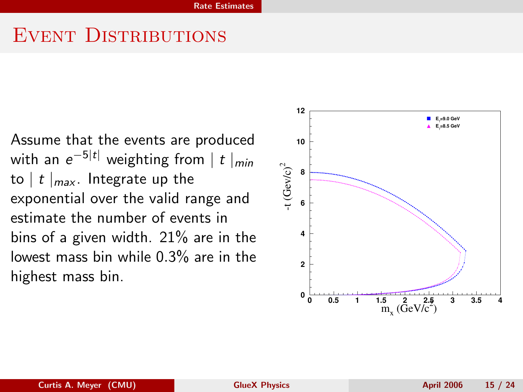### EVENT DISTRIBUTIONS

Assume that the events are produced with an  $e^{-5|t|}$  weighting from  $\mid t \mid_{min}$ to  $|t|_{max}$ . Integrate up the exponential over the valid range and estimate the number of events in bins of a given width. 21% are in the lowest mass bin while 0.3% are in the highest mass bin.

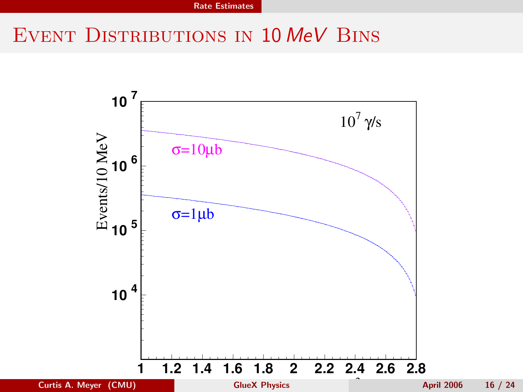# EVENT DISTRIBUTIONS IN 10 MeV BINS

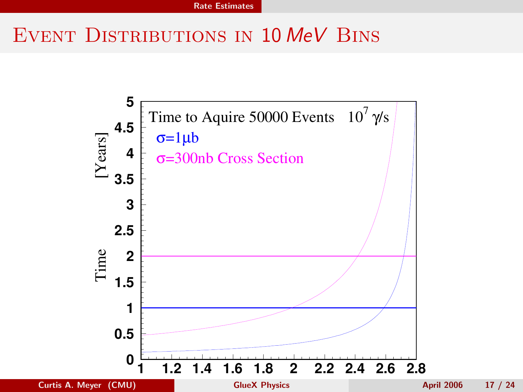# EVENT DISTRIBUTIONS IN 10 MeV BINS

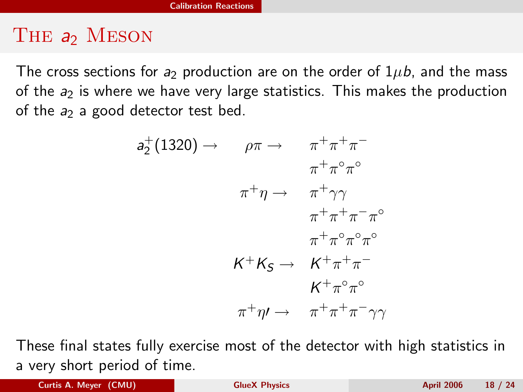### THE a<sub>2</sub> MESON

The cross sections for a<sub>2</sub> production are on the order of  $1\mu b$ , and the mass of the  $a_2$  is where we have very large statistics. This makes the production of the  $a_2$  a good detector test bed.

<span id="page-17-0"></span>
$$
a_2^+(1320) \rightarrow \rho \pi \rightarrow \pi^+ \pi^+ \pi^-
$$
  
\n
$$
\pi^+ \eta \rightarrow \pi^+ \gamma \gamma
$$
  
\n
$$
\pi^+ \eta \rightarrow \pi^+ \gamma \gamma
$$
  
\n
$$
\pi^+ \pi^+ \pi^- \pi^{\circ}
$$
  
\n
$$
\pi^+ \pi^+ \pi^- \pi^{\circ}
$$
  
\n
$$
K^+ K_S \rightarrow K^+ \pi^+ \pi^-
$$
  
\n
$$
K^+ \pi^{\circ} \pi^{\circ}
$$
  
\n
$$
\pi^+ \eta \rightarrow \pi^+ \pi^+ \pi^- \gamma \gamma
$$

These final states fully exercise most of the detector with high statistics in a very short period of time.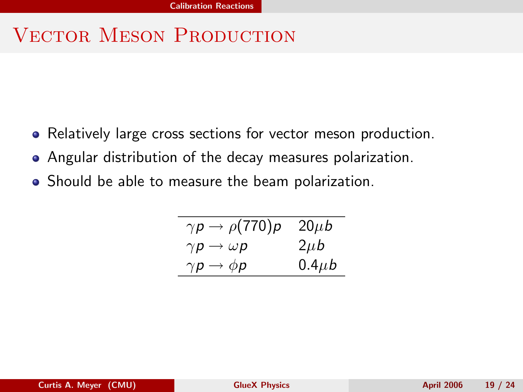# VECTOR MESON PRODUCTION

- Relatively large cross sections for vector meson production.
- Angular distribution of the decay measures polarization.
- Should be able to measure the beam polarization.

| $\gamma p \rightarrow \rho(770) p$ | $20\mu b$   |
|------------------------------------|-------------|
| $\gamma p \rightarrow \omega p$    | $2\mu b$    |
| $\gamma p \rightarrow \phi p$      | $0.4 \mu b$ |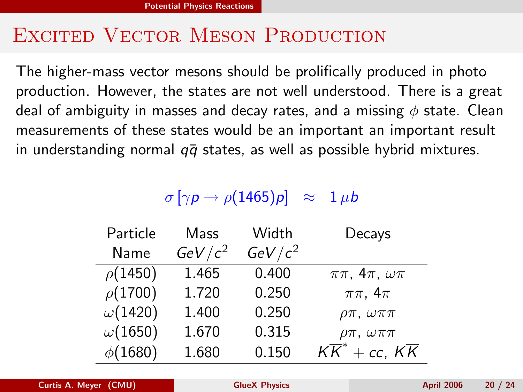### EXCITED VECTOR MESON PRODUCTION

The higher-mass vector mesons should be prolifically produced in photo production. However, the states are not well understood. There is a great deal of ambiguity in masses and decay rates, and a missing  $\phi$  state. Clean measurements of these states would be an important an important result in understanding normal  $q\bar{q}$  states, as well as possible hybrid mixtures.

#### <span id="page-19-0"></span> $\sigma$   $[\gamma p \rightarrow \rho (1465) p] \approx 1 \mu b$

| Particle       | Mass      | Width     | Decays                                  |
|----------------|-----------|-----------|-----------------------------------------|
| Name           | $GeV/c^2$ | $GeV/c^2$ |                                         |
| $\rho$ (1450)  | 1.465     | 0.400     | $\pi\pi$ , $4\pi$ , $\omega\pi$         |
| $\rho(1700)$   | 1.720     | 0.250     | $\pi\pi$ , $4\pi$                       |
| $\omega(1420)$ | 1.400     | 0.250     | $\rho\pi$ , $\omega\pi\pi$              |
| $\omega(1650)$ | 1.670     | 0.315     | $\rho\pi$ , $\omega\pi\pi$              |
| $\phi(1680)$   | 1.680     | 0.150     | $K\overline{K}^*$ + cc, $K\overline{K}$ |

Curtis A. Meyer (CMU) Curtis A. Meyer (CMU) Curtis April 2006 20 / 24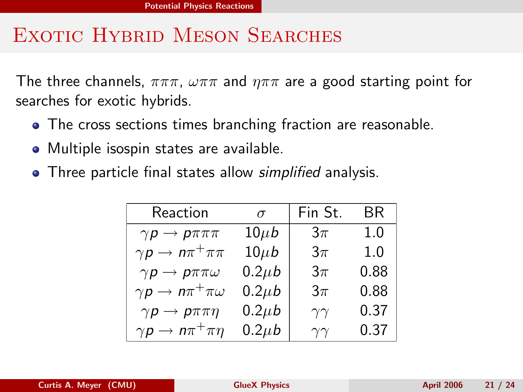# EXOTIC HYBRID MESON SEARCHES

The three channels,  $\pi\pi\pi$ ,  $\omega\pi\pi$  and  $\eta\pi\pi$  are a good starting point for searches for exotic hybrids.

- The cross sections times branching fraction are reasonable.
- Multiple isospin states are available.
- Three particle final states allow *simplified* analysis.

| Reaction                              | $\sigma$    | Fin St.        | <b>BR</b> |
|---------------------------------------|-------------|----------------|-----------|
| $\gamma p \to p \pi \pi \pi$          | $10\mu b$   | $3\pi$         | 1.0       |
| $\gamma p \to n \pi^+ \pi \pi$        | $10\mu b$   | $3\pi$         | 1.0       |
| $\gamma p \to p \pi \pi \omega$       | $0.2 \mu b$ | $3\pi$         | 0.88      |
| $\gamma p \to n \pi^+ \pi \omega$     | $0.2 \mu b$ | $3\pi$         | 0.88      |
| $\gamma p \rightarrow p \pi \pi \eta$ | $0.2 \mu b$ | $\gamma\gamma$ | 0.37      |
| $\gamma p \to n \pi^+ \pi \eta$       | $0.2 \mu b$ | $\gamma\gamma$ | 0.37      |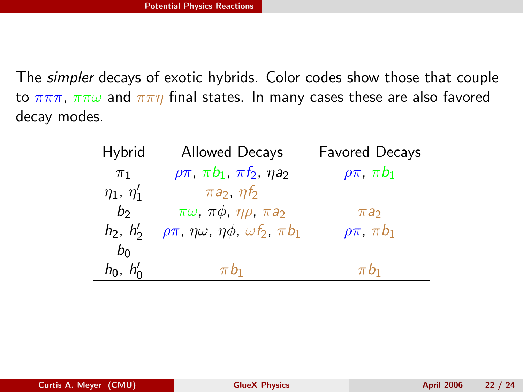The simpler decays of exotic hybrids. Color codes show those that couple to  $\pi\pi\pi$ ,  $\pi\pi\omega$  and  $\pi\pi\eta$  final states. In many cases these are also favored decay modes.

| Hybrid            | <b>Allowed Decays</b>                                            | <b>Favored Decays</b>  |
|-------------------|------------------------------------------------------------------|------------------------|
| $\pi_1$           | $\rho \pi$ , $\pi b_1$ , $\pi f_2$ , $\eta a_2$                  | $\rho \pi$ , $\pi b_1$ |
| $\eta_1, \eta'_1$ | $\pi a_2$ , $\eta f_2$                                           |                        |
| b <sub>2</sub>    | $\pi\omega$ , $\pi\phi$ , $\eta\rho$ , $\pi a_2$                 | $\pi a_2$              |
| $h_2, h'_2$       | $\rho\pi$ , $\eta\omega$ , $\eta\phi$ , $\omega f_2$ , $\pi b_1$ | $\rho\pi$ , $\pi b_1$  |
| $b_0$             |                                                                  |                        |
| $h_0$ , $h'_0$    | $\pi b_1$                                                        | $\pi b_1$              |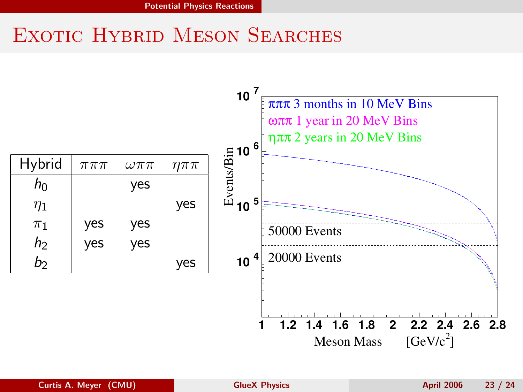# EXOTIC HYBRID MESON SEARCHES